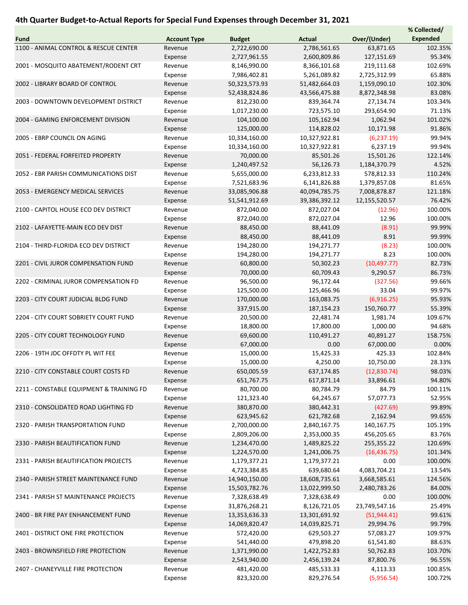## 4th Quarter Budget-to-Actual Reports for Special Fund Expenses through December 31, 2021

|                                                                         |                     |               |               |               | % Collected/    |
|-------------------------------------------------------------------------|---------------------|---------------|---------------|---------------|-----------------|
| Fund                                                                    | <b>Account Type</b> | <b>Budget</b> | <b>Actual</b> | Over/(Under)  | <b>Expended</b> |
| 1100 - ANIMAL CONTROL & RESCUE CENTER                                   | Revenue             | 2,722,690.00  | 2,786,561.65  | 63,871.65     | 102.35%         |
|                                                                         | Expense             | 2,727,961.55  | 2,600,809.86  | 127,151.69    | 95.34%          |
| 2001 - MOSQUITO ABATEMENT/RODENT CRT<br>2002 - LIBRARY BOARD OF CONTROL | Revenue             | 8,146,990.00  | 8,366,101.68  | 219,111.68    | 102.69%         |
|                                                                         | Expense             | 7,986,402.81  | 5,261,089.82  | 2,725,312.99  | 65.88%          |
|                                                                         | Revenue             | 50,323,573.93 | 51,482,664.03 | 1,159,090.10  | 102.30%         |
|                                                                         |                     |               |               |               |                 |
|                                                                         | Expense             | 52,438,824.86 | 43,566,475.88 | 8,872,348.98  | 83.08%          |
| 2003 - DOWNTOWN DEVELOPMENT DISTRICT                                    | Revenue             | 812,230.00    | 839,364.74    | 27,134.74     | 103.34%         |
|                                                                         | Expense             | 1,017,230.00  | 723,575.10    | 293,654.90    | 71.13%          |
| 2004 - GAMING ENFORCEMENT DIVISION                                      | Revenue             | 104,100.00    | 105,162.94    | 1,062.94      | 101.02%         |
|                                                                         | Expense             | 125,000.00    | 114,828.02    | 10,171.98     | 91.86%          |
| 2005 - EBRP COUNCIL ON AGING                                            | Revenue             | 10,334,160.00 | 10,327,922.81 | (6, 237.19)   | 99.94%          |
|                                                                         | Expense             | 10,334,160.00 | 10,327,922.81 | 6,237.19      | 99.94%          |
| 2051 - FEDERAL FORFEITED PROPERTY                                       | Revenue             | 70,000.00     | 85,501.26     | 15,501.26     | 122.14%         |
|                                                                         | Expense             | 1,240,497.52  | 56,126.73     | 1,184,370.79  | 4.52%           |
| 2052 - EBR PARISH COMMUNICATIONS DIST                                   | Revenue             | 5,655,000.00  | 6,233,812.33  | 578,812.33    | 110.24%         |
|                                                                         |                     |               |               |               |                 |
|                                                                         | Expense             | 7,521,683.96  | 6,141,826.88  | 1,379,857.08  | 81.65%          |
| 2053 - EMERGENCY MEDICAL SERVICES                                       | Revenue             | 33,085,906.88 | 40,094,785.75 | 7,008,878.87  | 121.18%         |
|                                                                         | Expense             | 51,541,912.69 | 39,386,392.12 | 12,155,520.57 | 76.42%          |
| 2100 - CAPITOL HOUSE ECO DEV DISTRICT                                   | Revenue             | 872,040.00    | 872,027.04    | (12.96)       | 100.00%         |
|                                                                         | Expense             | 872,040.00    | 872,027.04    | 12.96         | 100.00%         |
| 2102 - LAFAYETTE-MAIN ECO DEV DIST                                      | Revenue             | 88,450.00     | 88,441.09     | (8.91)        | 99.99%          |
|                                                                         | Expense             | 88,450.00     | 88,441.09     | 8.91          | 99.99%          |
| 2104 - THIRD-FLORIDA ECO DEV DISTRICT                                   | Revenue             | 194,280.00    | 194,271.77    | (8.23)        | 100.00%         |
|                                                                         | Expense             | 194,280.00    | 194,271.77    | 8.23          | 100.00%         |
| 2201 - CIVIL JUROR COMPENSATION FUND                                    | Revenue             | 60,800.00     | 50,302.23     | (10, 497.77)  | 82.73%          |
|                                                                         |                     |               |               |               |                 |
|                                                                         | Expense             | 70,000.00     | 60,709.43     | 9,290.57      | 86.73%          |
| 2202 - CRIMINAL JUROR COMPENSATION FD                                   | Revenue             | 96,500.00     | 96,172.44     | (327.56)      | 99.66%          |
|                                                                         | Expense             | 125,500.00    | 125,466.96    | 33.04         | 99.97%          |
| 2203 - CITY COURT JUDICIAL BLDG FUND                                    | Revenue             | 170,000.00    | 163,083.75    | (6,916.25)    | 95.93%          |
|                                                                         | Expense             | 337,915.00    | 187,154.23    | 150,760.77    | 55.39%          |
| 2204 - CITY COURT SOBRIETY COURT FUND                                   | Revenue             | 20,500.00     | 22,481.74     | 1,981.74      | 109.67%         |
|                                                                         | Expense             | 18,800.00     | 17,800.00     | 1,000.00      | 94.68%          |
| 2205 - CITY COURT TECHNOLOGY FUND                                       | Revenue             | 69,600.00     | 110,491.27    | 40,891.27     | 158.75%         |
|                                                                         | Expense             | 67,000.00     | 0.00          | 67,000.00     | 0.00%           |
| 2206 - 19TH JDC OFFDTY PL WIT FEE                                       | Revenue             | 15,000.00     | 15,425.33     | 425.33        | 102.84%         |
|                                                                         |                     | 15,000.00     | 4,250.00      | 10,750.00     | 28.33%          |
|                                                                         | Expense             |               |               |               |                 |
| 2210 - CITY CONSTABLE COURT COSTS FD                                    | Revenue             | 650,005.59    | 637,174.85    | (12,830.74)   | 98.03%          |
|                                                                         | Expense             | 651,767.75    | 617,871.14    | 33,896.61     | 94.80%          |
| 2211 - CONSTABLE EQUIPMENT & TRAINING FD                                | Revenue             | 80,700.00     | 80,784.79     | 84.79         | 100.11%         |
|                                                                         | Expense             | 121,323.40    | 64,245.67     | 57,077.73     | 52.95%          |
| 2310 - CONSOLIDATED ROAD LIGHTING FD                                    | Revenue             | 380,870.00    | 380,442.31    | (427.69)      | 99.89%          |
|                                                                         | Expense             | 623,945.62    | 621,782.68    | 2,162.94      | 99.65%          |
| 2320 - PARISH TRANSPORTATION FUND                                       | Revenue             | 2,700,000.00  | 2,840,167.75  | 140,167.75    | 105.19%         |
|                                                                         | Expense             | 2,809,206.00  | 2,353,000.35  | 456,205.65    | 83.76%          |
| 2330 - PARISH BEAUTIFICATION FUND                                       | Revenue             | 1,234,470.00  | 1,489,825.22  | 255,355.22    | 120.69%         |
|                                                                         | Expense             | 1,224,570.00  | 1,241,006.75  | (16, 436.75)  | 101.34%         |
|                                                                         |                     |               |               |               |                 |
| 2331 - PARISH BEAUTIFICATION PROJECTS                                   | Revenue             | 1,179,377.21  | 1,179,377.21  | 0.00          | 100.00%         |
|                                                                         | Expense             | 4,723,384.85  | 639,680.64    | 4,083,704.21  | 13.54%          |
| 2340 - PARISH STREET MAINTENANCE FUND                                   | Revenue             | 14,940,150.00 | 18,608,735.61 | 3,668,585.61  | 124.56%         |
|                                                                         | Expense             | 15,503,782.76 | 13,022,999.50 | 2,480,783.26  | 84.00%          |
| 2341 - PARISH ST MAINTENANCE PROJECTS                                   | Revenue             | 7,328,638.49  | 7,328,638.49  | 0.00          | 100.00%         |
|                                                                         | Expense             | 31,876,268.21 | 8,126,721.05  | 23,749,547.16 | 25.49%          |
| 2400 - BR FIRE PAY ENHANCEMENT FUND                                     | Revenue             | 13,353,636.33 | 13,301,691.92 | (51, 944.41)  | 99.61%          |
|                                                                         | Expense             | 14,069,820.47 | 14,039,825.71 | 29,994.76     | 99.79%          |
| 2401 - DISTRICT ONE FIRE PROTECTION                                     | Revenue             | 572,420.00    | 629,503.27    | 57,083.27     | 109.97%         |
|                                                                         |                     |               |               |               |                 |
|                                                                         | Expense             | 541,440.00    | 479,898.20    | 61,541.80     | 88.63%          |
| 2403 - BROWNSFIELD FIRE PROTECTION                                      | Revenue             | 1,371,990.00  | 1,422,752.83  | 50,762.83     | 103.70%         |
|                                                                         | Expense             | 2,543,940.00  | 2,456,139.24  | 87,800.76     | 96.55%          |
| 2407 - CHANEYVILLE FIRE PROTECTION                                      | Revenue             | 481,420.00    | 485,533.33    | 4,113.33      | 100.85%         |
|                                                                         | Expense             | 823,320.00    | 829,276.54    | (5,956.54)    | 100.72%         |